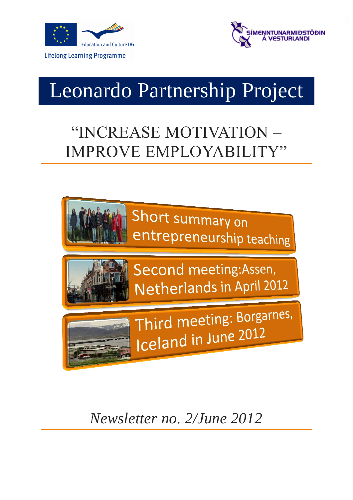



# Leonardo Partnership Project

## "INCREASE MOTIVATION – IMPROVE EMPLOYABILIT



*Newsletter no. 2/June 2012*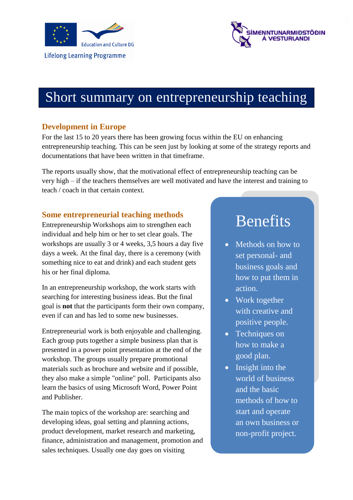



### Short summary on entrepreneurship teaching

### **Development in Europe**

For the last 15 to 20 years there has been growing focus within the EU on enhancing entrepreneurship teaching. This can be seen just by looking at some of the strategy reports and documentations that have been written in that timeframe.

The reports usually show, that the motivational effect of entrepreneurship teaching can be very high – if the teachers themselves are well motivated and have the interest and training to teach / coach in that certain context.

### **Some entrepreneurial teaching methods**

Entrepreneurship Workshops aim to strengthen each individual and help him or her to set clear goals. The workshops are usually 3 or 4 weeks, 3,5 hours a day five days a week. At the final day, there is a ceremony (with something nice to eat and drink) and each student gets his or her final diploma.

In an entrepreneurship workshop, the work starts with searching for interesting business ideas. But the final goal is **not** that the participants form their own company, even if can and has led to some new businesses.

Entrepreneurial work is both enjoyable and challenging. Each group puts together a simple business plan that is presented in a power point presentation at the end of the workshop. The groups usually prepare promotional materials such as brochure and website and if possible, they also make a simple "online" poll. Participants also learn the basics of using Microsoft Word, Power Point and Publisher.

The main topics of the workshop are: searching and developing ideas, goal setting and planning actions, product development, market research and marketing, finance, administration and management, promotion and sales techniques. Usually one day goes on visiting

### Benefits

- Methods on how to set personal- and business goals and how to put them in action.
- Work together with creative and positive people.
- Techniques on how to make a good plan.
- Insight into the world of business and the basic methods of how to start and operate an own business or non-profit project.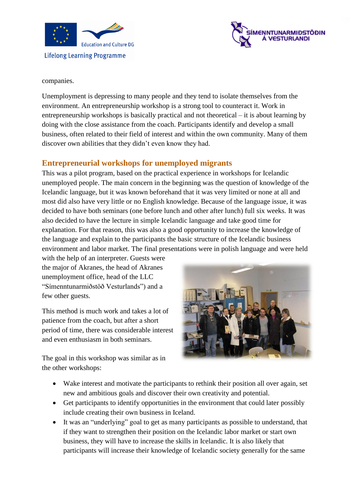



#### companies.

Unemployment is depressing to many people and they tend to isolate themselves from the environment. An entrepreneurship workshop is a strong tool to counteract it. Work in entrepreneurship workshops is basically practical and not theoretical – it is about learning by doing with the close assistance from the coach. Participants identify and develop a small business, often related to their field of interest and within the own community. Many of them discover own abilities that they didn't even know they had.

### **Entrepreneurial workshops for unemployed migrants**

This was a pilot program, based on the practical experience in workshops for Icelandic unemployed people. The main concern in the beginning was the question of knowledge of the Icelandic language, but it was known beforehand that it was very limited or none at all and most did also have very little or no English knowledge. Because of the language issue, it was decided to have both seminars (one before lunch and other after lunch) full six weeks. It was also decided to have the lecture in simple Icelandic language and take good time for explanation. For that reason, this was also a good opportunity to increase the knowledge of the language and explain to the participants the basic structure of the Icelandic business environment and labor market. The final presentations were in polish language and were held

with the help of an interpreter. Guests were the major of Akranes, the head of Akranes unemployment office, head of the LLC "Símenntunarmiðstöð Vesturlands") and a few other guests.

This method is much work and takes a lot of patience from the coach, but after a short period of time, there was considerable interest and even enthusiasm in both seminars.

The goal in this workshop was similar as in the other workshops:



- Wake interest and motivate the participants to rethink their position all over again, set new and ambitious goals and discover their own creativity and potential.
- Get participants to identify opportunities in the environment that could later possibly include creating their own business in Iceland.
- It was an "underlying" goal to get as many participants as possible to understand, that if they want to strengthen their position on the Icelandic labor market or start own business, they will have to increase the skills in Icelandic. It is also likely that participants will increase their knowledge of Icelandic society generally for the same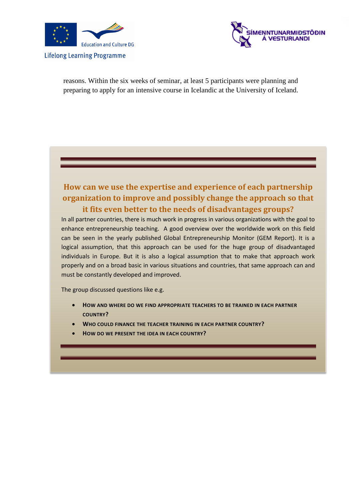



reasons. Within the six weeks of seminar, at least 5 participants were planning and preparing to apply for an intensive course in Icelandic at the University of Iceland.

### **How can we use the expertise and experience of each partnership organization to improve and possibly change the approach so that it fits even better to the needs of disadvantages groups?**

In all partner countries, there is much work in progress in various organizations with the goal to enhance entrepreneurship teaching. A good overview over the worldwide work on this field can be seen in the yearly published Global Entrepreneurship Monitor (GEM Report). It is a logical assumption, that this approach can be used for the huge group of disadvantaged individuals in Europe. But it is also a logical assumption that to make that approach work properly and on a broad basic in various situations and countries, that same approach can and must be constantly developed and improved.

The group discussed questions like e.g.

- **HOW AND WHERE DO WE FIND APPROPRIATE TEACHERS TO BE TRAINED IN EACH PARTNER COUNTRY?**
- **WHO COULD FINANCE THE TEACHER TRAINING IN EACH PARTNER COUNTRY?**
- **HOW DO WE PRESENT THE IDEA IN EACH COUNTRY?**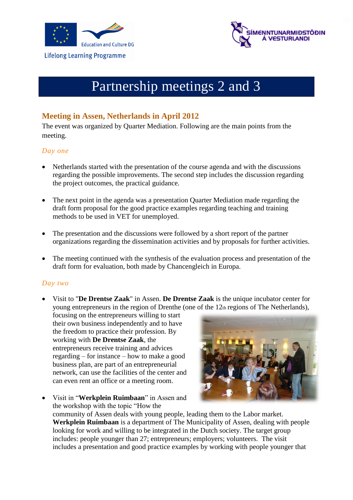



### Partnership meetings 2 and 3

### **Meeting in Assen, Netherlands in April 2012**

The event was organized by Quarter Mediation. Following are the main points from the meeting.

#### *Day one*

- Netherlands started with the presentation of the course agenda and with the discussions regarding the possible improvements. The second step includes the discussion regarding the project outcomes, the practical guidance.
- The next point in the agenda was a presentation Quarter Mediation made regarding the draft form proposal for the good practice examples regarding teaching and training methods to be used in VET for unemployed.
- The presentation and the discussions were followed by a short report of the partner organizations regarding the dissemination activities and by proposals for further activities.
- The meeting continued with the synthesis of the evaluation process and presentation of the draft form for evaluation, both made by Chancengleich in Europa.

### *Day two*

 Visit to "**De Drentse Zaak**" in Assen. **De Drentse Zaak** is the unique incubator center for young entrepreneurs in the region of Drenthe (one of the  $12<sub>th</sub>$  regions of The Netherlands),

focusing on the entrepreneurs willing to start their own business independently and to have the freedom to practice their profession. By working with **De Drentse Zaak**, the entrepreneurs receive training and advices regarding – for instance – how to make a good business plan, are part of an entrepreneurial network, can use the facilities of the center and can even rent an office or a meeting room.



 Visit in "**Werkplein Ruimbaan**" in Assen and the workshop with the topic "How the community of Assen deals with young people, leading them to the Labor market. **Werkplein Ruimbaan** is a department of The Municipality of Assen, dealing with people looking for work and willing to be integrated in the Dutch society. The target group includes: people younger than 27; entrepreneurs; employers; volunteers. The visit includes a presentation and good practice examples by working with people younger that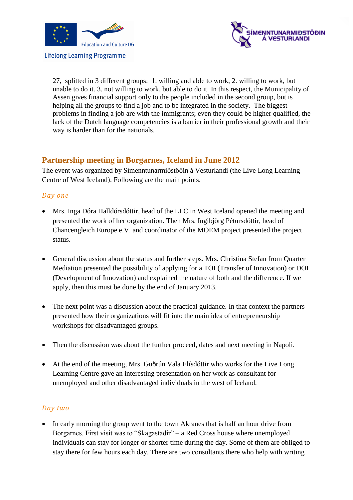



27, splitted in 3 different groups: 1. willing and able to work, 2. willing to work, but unable to do it. 3. not willing to work, but able to do it. In this respect, the Municipality of Assen gives financial support only to the people included in the second group, but is helping all the groups to find a job and to be integrated in the society. The biggest problems in finding a job are with the immigrants; even they could be higher qualified, the lack of the Dutch language competencies is a barrier in their professional growth and their way is harder than for the nationals.

### **Partnership meeting in Borgarnes, Iceland in June 2012**

The event was organized by Símenntunarmiðstöðin á Vesturlandi (the Live Long Learning Centre of West Iceland). Following are the main points.

### *Day one*

- Mrs. Inga Dóra Halldórsdóttir, head of the LLC in West Iceland opened the meeting and presented the work of her organization. Then Mrs. Ingibjörg Pétursdóttir, head of Chancengleich Europe e.V. and coordinator of the MOEM project presented the project status.
- General discussion about the status and further steps. Mrs. Christina Stefan from Quarter Mediation presented the possibility of applying for a TOI (Transfer of Innovation) or DOI (Development of Innovation) and explained the nature of both and the difference. If we apply, then this must be done by the end of January 2013.
- The next point was a discussion about the practical guidance. In that context the partners presented how their organizations will fit into the main idea of entrepreneurship workshops for disadvantaged groups.
- Then the discussion was about the further proceed, dates and next meeting in Napoli.
- At the end of the meeting, Mrs. Guðrún Vala Elísdóttir who works for the Live Long Learning Centre gave an interesting presentation on her work as consultant for unemployed and other disadvantaged individuals in the west of Iceland.

### *Day two*

• In early morning the group went to the town Akranes that is half an hour drive from Borgarnes. First visit was to "Skagastadir" – a Red Cross house where unemployed individuals can stay for longer or shorter time during the day. Some of them are obliged to stay there for few hours each day. There are two consultants there who help with writing